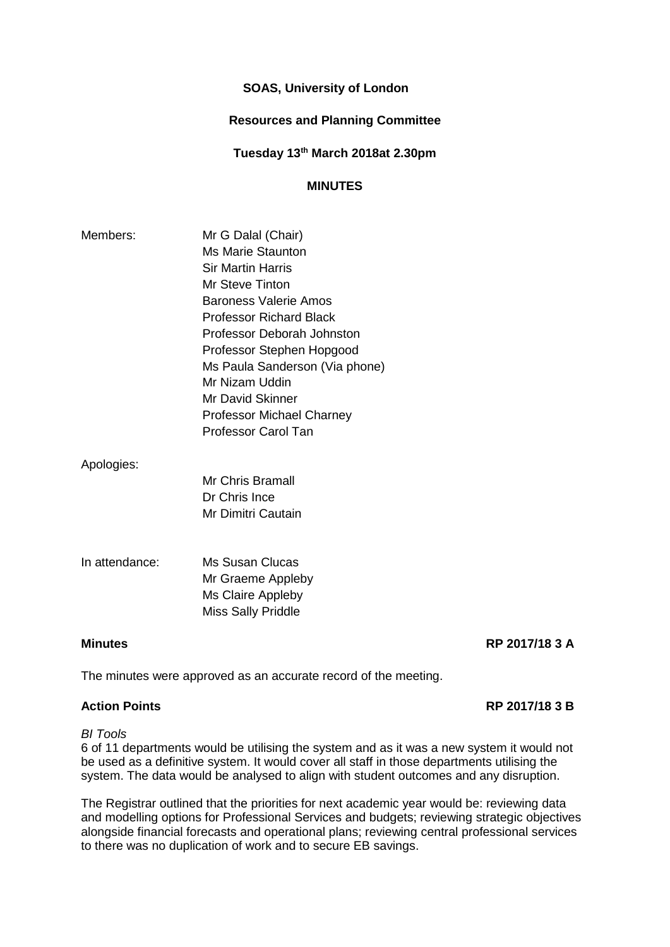# **SOAS, University of London**

# **Resources and Planning Committee**

**Tuesday 13th March 2018at 2.30pm**

# **MINUTES**

| Members: | Mr G Dalal (Chair)               |
|----------|----------------------------------|
|          | Ms Marie Staunton                |
|          | <b>Sir Martin Harris</b>         |
|          | Mr Steve Tinton                  |
|          | <b>Baroness Valerie Amos</b>     |
|          | Professor Richard Black          |
|          | Professor Deborah Johnston       |
|          | Professor Stephen Hopgood        |
|          | Ms Paula Sanderson (Via phone)   |
|          | Mr Nizam Uddin                   |
|          | Mr David Skinner                 |
|          | <b>Professor Michael Charney</b> |
|          | Professor Carol Tan              |
|          |                                  |

## Apologies:

Mr Chris Bramall Dr Chris Ince Mr Dimitri Cautain

In attendance: Ms Susan Clucas Mr Graeme Appleby Ms Claire Appleby Miss Sally Priddle

## **Minutes RP 2017/18 3 A**

The minutes were approved as an accurate record of the meeting.

## **Action Points RP 2017/18 3 B**

## *BI Tools*

6 of 11 departments would be utilising the system and as it was a new system it would not be used as a definitive system. It would cover all staff in those departments utilising the system. The data would be analysed to align with student outcomes and any disruption.

The Registrar outlined that the priorities for next academic year would be: reviewing data and modelling options for Professional Services and budgets; reviewing strategic objectives alongside financial forecasts and operational plans; reviewing central professional services to there was no duplication of work and to secure EB savings.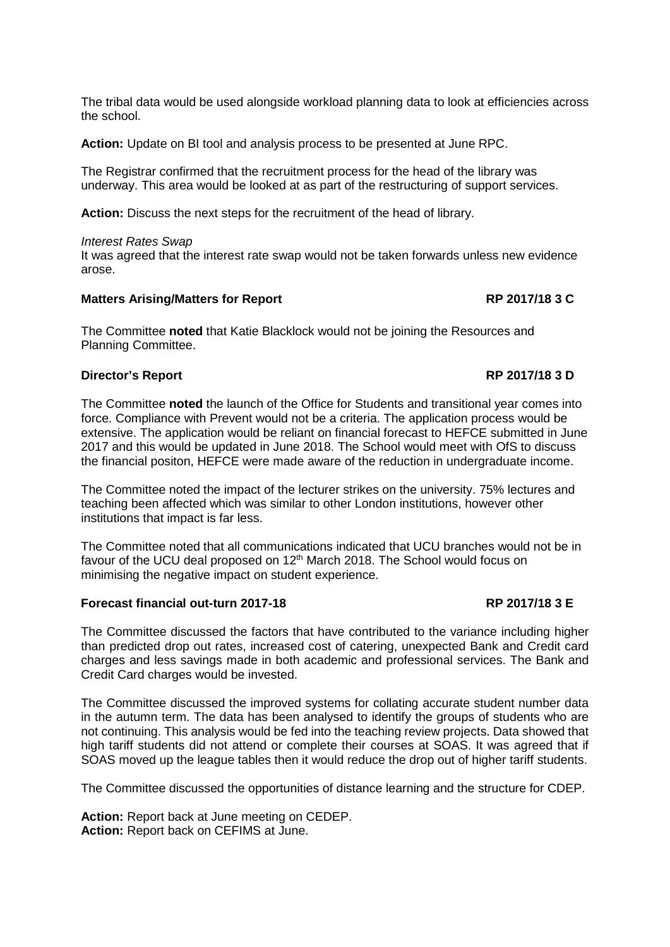The tribal data would be used alongside workload planning data to look at efficiencies across the school.

**Action:** Update on BI tool and analysis process to be presented at June RPC.

The Registrar confirmed that the recruitment process for the head of the library was underway. This area would be looked at as part of the restructuring of support services.

**Action:** Discuss the next steps for the recruitment of the head of library.

## *Interest Rates Swap*

It was agreed that the interest rate swap would not be taken forwards unless new evidence arose.

## **Matters Arising/Matters for Report RP 2017/18 3 C**

The Committee **noted** that Katie Blacklock would not be joining the Resources and Planning Committee.

## **Director's Report RP 2017/18 3 D**

The Committee **noted** the launch of the Office for Students and transitional year comes into force. Compliance with Prevent would not be a criteria. The application process would be extensive. The application would be reliant on financial forecast to HEFCE submitted in June 2017 and this would be updated in June 2018. The School would meet with OfS to discuss the financial positon, HEFCE were made aware of the reduction in undergraduate income.

The Committee noted the impact of the lecturer strikes on the university. 75% lectures and teaching been affected which was similar to other London institutions, however other institutions that impact is far less.

The Committee noted that all communications indicated that UCU branches would not be in favour of the UCU deal proposed on 12<sup>th</sup> March 2018. The School would focus on minimising the negative impact on student experience.

## **Forecast financial out-turn 2017-18 RP 2017/18 3 E**

The Committee discussed the factors that have contributed to the variance including higher than predicted drop out rates, increased cost of catering, unexpected Bank and Credit card charges and less savings made in both academic and professional services. The Bank and Credit Card charges would be invested.

The Committee discussed the improved systems for collating accurate student number data in the autumn term. The data has been analysed to identify the groups of students who are not continuing. This analysis would be fed into the teaching review projects. Data showed that high tariff students did not attend or complete their courses at SOAS. It was agreed that if SOAS moved up the league tables then it would reduce the drop out of higher tariff students.

The Committee discussed the opportunities of distance learning and the structure for CDEP.

**Action:** Report back at June meeting on CEDEP. **Action:** Report back on CEFIMS at June.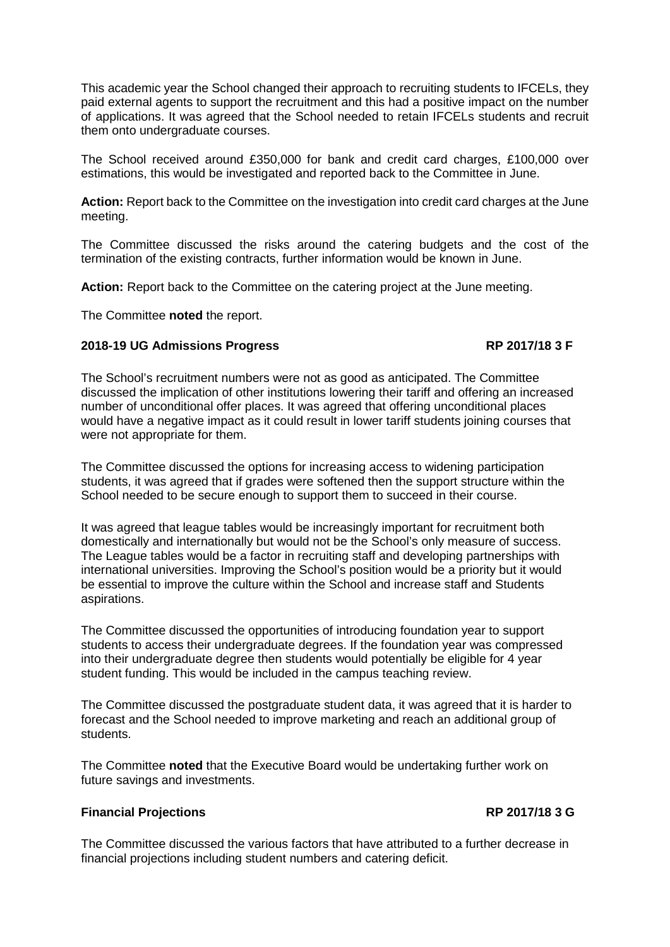This academic year the School changed their approach to recruiting students to IFCELs, they paid external agents to support the recruitment and this had a positive impact on the number of applications. It was agreed that the School needed to retain IFCELs students and recruit them onto undergraduate courses.

The School received around £350,000 for bank and credit card charges, £100,000 over estimations, this would be investigated and reported back to the Committee in June.

**Action:** Report back to the Committee on the investigation into credit card charges at the June meeting.

The Committee discussed the risks around the catering budgets and the cost of the termination of the existing contracts, further information would be known in June.

**Action:** Report back to the Committee on the catering project at the June meeting.

The Committee **noted** the report.

# **2018-19 UG Admissions Progress RP 2017/18 3 F**

The School's recruitment numbers were not as good as anticipated. The Committee discussed the implication of other institutions lowering their tariff and offering an increased number of unconditional offer places. It was agreed that offering unconditional places would have a negative impact as it could result in lower tariff students joining courses that were not appropriate for them.

The Committee discussed the options for increasing access to widening participation students, it was agreed that if grades were softened then the support structure within the School needed to be secure enough to support them to succeed in their course.

It was agreed that league tables would be increasingly important for recruitment both domestically and internationally but would not be the School's only measure of success. The League tables would be a factor in recruiting staff and developing partnerships with international universities. Improving the School's position would be a priority but it would be essential to improve the culture within the School and increase staff and Students aspirations.

The Committee discussed the opportunities of introducing foundation year to support students to access their undergraduate degrees. If the foundation year was compressed into their undergraduate degree then students would potentially be eligible for 4 year student funding. This would be included in the campus teaching review.

The Committee discussed the postgraduate student data, it was agreed that it is harder to forecast and the School needed to improve marketing and reach an additional group of students.

The Committee **noted** that the Executive Board would be undertaking further work on future savings and investments.

## **Financial Projections RP 2017/18 3 G**

The Committee discussed the various factors that have attributed to a further decrease in financial projections including student numbers and catering deficit.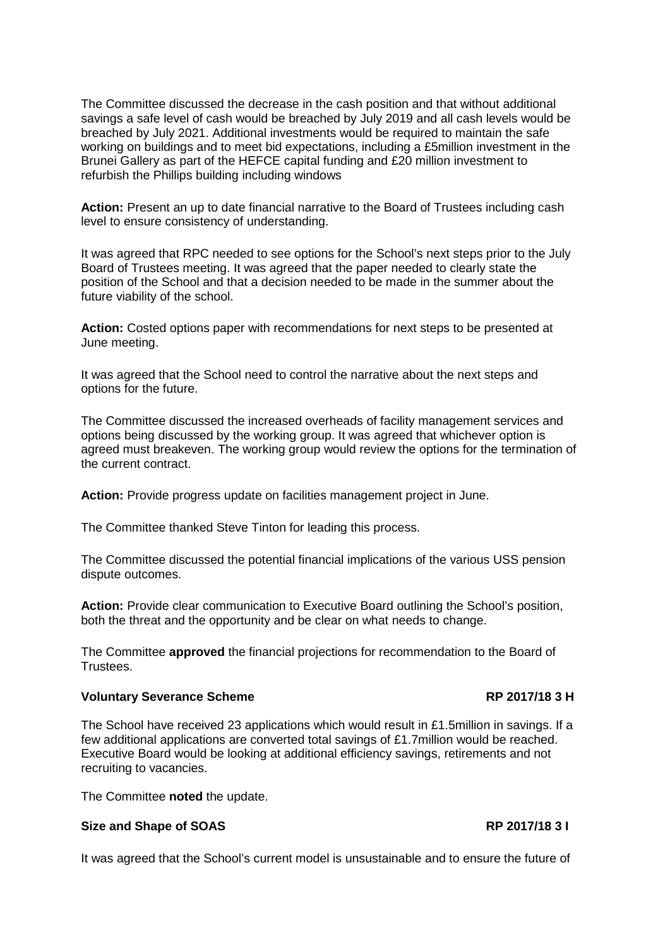The Committee discussed the decrease in the cash position and that without additional savings a safe level of cash would be breached by July 2019 and all cash levels would be breached by July 2021. Additional investments would be required to maintain the safe working on buildings and to meet bid expectations, including a £5million investment in the Brunei Gallery as part of the HEFCE capital funding and £20 million investment to refurbish the Phillips building including windows

**Action:** Present an up to date financial narrative to the Board of Trustees including cash level to ensure consistency of understanding.

It was agreed that RPC needed to see options for the School's next steps prior to the July Board of Trustees meeting. It was agreed that the paper needed to clearly state the position of the School and that a decision needed to be made in the summer about the future viability of the school.

**Action:** Costed options paper with recommendations for next steps to be presented at June meeting.

It was agreed that the School need to control the narrative about the next steps and options for the future.

The Committee discussed the increased overheads of facility management services and options being discussed by the working group. It was agreed that whichever option is agreed must breakeven. The working group would review the options for the termination of the current contract.

**Action:** Provide progress update on facilities management project in June.

The Committee thanked Steve Tinton for leading this process.

The Committee discussed the potential financial implications of the various USS pension dispute outcomes.

**Action:** Provide clear communication to Executive Board outlining the School's position, both the threat and the opportunity and be clear on what needs to change.

The Committee **approved** the financial projections for recommendation to the Board of Trustees.

# Voluntary Severance Scheme **RP 2017/18 3 H**

The School have received 23 applications which would result in £1.5million in savings. If a few additional applications are converted total savings of £1.7million would be reached. Executive Board would be looking at additional efficiency savings, retirements and not recruiting to vacancies.

The Committee **noted** the update.

# **Size and Shape of SOAS RP 2017/18 3 I**

It was agreed that the School's current model is unsustainable and to ensure the future of